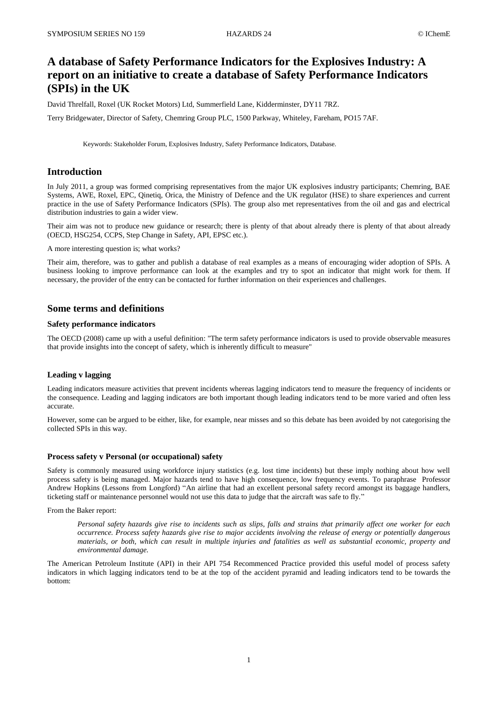# **A database of Safety Performance Indicators for the Explosives Industry: A report on an initiative to create a database of Safety Performance Indicators (SPIs) in the UK**

David Threlfall, Roxel (UK Rocket Motors) Ltd, Summerfield Lane, Kidderminster, DY11 7RZ.

Terry Bridgewater, Director of Safety, Chemring Group PLC, 1500 Parkway, Whiteley, Fareham, PO15 7AF.

Keywords: Stakeholder Forum, Explosives Industry, Safety Performance Indicators, Database.

# **Introduction**

In July 2011, a group was formed comprising representatives from the major UK explosives industry participants; Chemring, BAE Systems, AWE, Roxel, EPC, Qinetiq, Orica, the Ministry of Defence and the UK regulator (HSE) to share experiences and current practice in the use of Safety Performance Indicators (SPIs). The group also met representatives from the oil and gas and electrical distribution industries to gain a wider view.

Their aim was not to produce new guidance or research; there is plenty of that about already there is plenty of that about already (OECD, HSG254, CCPS, Step Change in Safety, API, EPSC etc.).

A more interesting question is; what works?

Their aim, therefore, was to gather and publish a database of real examples as a means of encouraging wider adoption of SPIs. A business looking to improve performance can look at the examples and try to spot an indicator that might work for them. If necessary, the provider of the entry can be contacted for further information on their experiences and challenges.

# **Some terms and definitions**

### **Safety performance indicators**

The OECD (2008) came up with a useful definition: "The term safety performance indicators is used to provide observable measures that provide insights into the concept of safety, which is inherently difficult to measure"

# **Leading v lagging**

Leading indicators measure activities that prevent incidents whereas lagging indicators tend to measure the frequency of incidents or the consequence. Leading and lagging indicators are both important though leading indicators tend to be more varied and often less accurate.

However, some can be argued to be either, like, for example, near misses and so this debate has been avoided by not categorising the collected SPIs in this way.

# **Process safety v Personal (or occupational) safety**

Safety is commonly measured using workforce injury statistics (e.g. lost time incidents) but these imply nothing about how well process safety is being managed. Major hazards tend to have high consequence, low frequency events. To paraphrase Professor Andrew Hopkins (Lessons from Longford) "An airline that had an excellent personal safety record amongst its baggage handlers, ticketing staff or maintenance personnel would not use this data to judge that the aircraft was safe to fly."

From the Baker report:

*Personal safety hazards give rise to incidents such as slips, falls and strains that primarily affect one worker for each occurrence. Process safety hazards give rise to major accidents involving the release of energy or potentially dangerous materials, or both, which can result in multiple injuries and fatalities as well as substantial economic, property and environmental damage.*

The American Petroleum Institute (API) in their API 754 Recommenced Practice provided this useful model of process safety indicators in which lagging indicators tend to be at the top of the accident pyramid and leading indicators tend to be towards the bottom: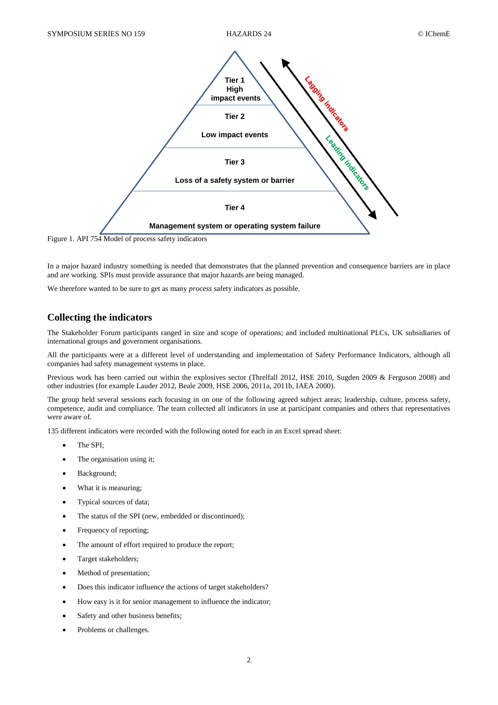

Figure 1. API 754 Model of process safety indicators

In a major hazard industry something is needed that demonstrates that the planned prevention and consequence barriers are in place and are working. SPIs must provide assurance that major hazards are being managed.

We therefore wanted to be sure to get as many *process* safety indicators as possible.

# **Collecting the indicators**

The Stakeholder Forum participants ranged in size and scope of operations; and included multinational PLCs, UK subsidiaries of international groups and government organisations.

All the participants were at a different level of understanding and implementation of Safety Performance Indicators, although all companies had safety management systems in place.

Previous work has been carried out within the explosives sector (Threlfall 2012, HSE 2010, Sugden 2009 & Ferguson 2008) and other industries (for example Lauder 2012, Beale 2009, HSE 2006, 2011a, 2011b, IAEA 2000).

The group held several sessions each focusing in on one of the following agreed subject areas; leadership, culture, process safety, competence, audit and compliance. The team collected all indicators in use at participant companies and others that representatives were aware of.

135 different indicators were recorded with the following noted for each in an Excel spread sheet:

- The SPI;
- The organisation using it;
- Background;
- What it is measuring;
- Typical sources of data:
- The status of the SPI (new, embedded or discontinued);
- Frequency of reporting;
- The amount of effort required to produce the report;
- Target stakeholders;
- Method of presentation;
- Does this indicator influence the actions of target stakeholders?
- How easy is it for senior management to influence the indicator;
- Safety and other business benefits;
- Problems or challenges.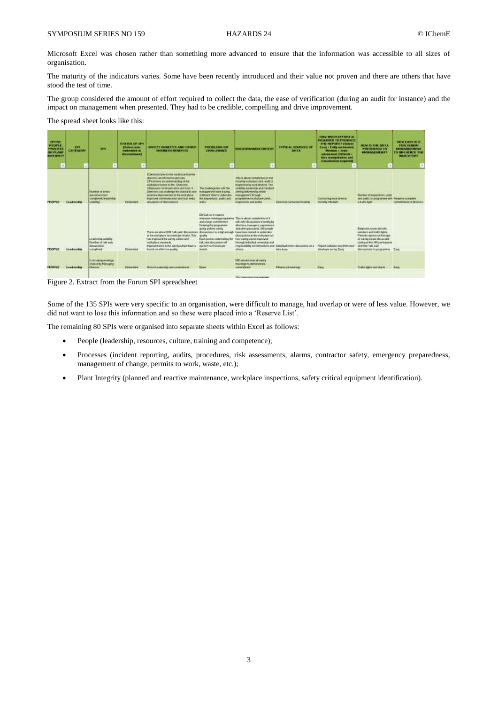Microsoft Excel was chosen rather than something more advanced to ensure that the information was accessible to all sizes of organisation.

The maturity of the indicators varies. Some have been recently introduced and their value not proven and there are others that have stood the test of time.

The group considered the amount of effort required to collect the data, the ease of verification (during an audit for instance) and the impact on management when presented. They had to be credible, compelling and drive improvement.

The spread sheet looks like this:

| <b>CENTER</b><br>PERFER<br><b>PROCZ35</b><br><b>UPTER AM</b><br><b>MEEDING</b><br>÷ | T PH<br><b>CATEGORY</b>                | œ                                                                                                      | <b>Manufacturer</b><br><b>REATING OF THE</b><br><b>Chairman more</b><br>marked and an<br>distances at | SAFETY DENEFITS AND OTHER<br><b><i><u>SECURE SILES ARRIVED</u></i></b><br>٠                                                                                                                                                                                                                                                                                                       | <b>PRODUCTIVE OR</b><br><b>CHARLE BELL'S</b><br>÷                                                                                                                                                                | <b><i>PLACE DISTURBATION CONTROLS</i></b><br>×                                                                                                                                                                                                                                                              | THINGAL GOVERNS OF<br><b>DATA</b>                                                                                                                         | <b><i>URTH MURDERWEIGHT 25</i></b><br><b>GESCHICED TO PRODUCE</b><br>THE NETWORT COAST<br>Ears / Fully automated.<br><b>Medium consider</b><br>automated Different -<br>data managements and<br>massakakee required) | <b>THE REPORT OF THE</b><br><b>MORRIS CIE CIRCLE</b><br><b>PHATEMENTS</b> 101<br><b>HAWAIA MENTE</b>                                                                                                              | <b>HOW CASY IS IT</b><br><b>FOR SENIOR</b><br><b>MANUFACTURERS</b><br><b>TO MARLINE MCK, EVAL</b><br><b>INTERNATIONS</b><br>$\overline{a}$ |
|-------------------------------------------------------------------------------------|----------------------------------------|--------------------------------------------------------------------------------------------------------|-------------------------------------------------------------------------------------------------------|-----------------------------------------------------------------------------------------------------------------------------------------------------------------------------------------------------------------------------------------------------------------------------------------------------------------------------------------------------------------------------------|------------------------------------------------------------------------------------------------------------------------------------------------------------------------------------------------------------------|-------------------------------------------------------------------------------------------------------------------------------------------------------------------------------------------------------------------------------------------------------------------------------------------------------------|-----------------------------------------------------------------------------------------------------------------------------------------------------------|----------------------------------------------------------------------------------------------------------------------------------------------------------------------------------------------------------------------|-------------------------------------------------------------------------------------------------------------------------------------------------------------------------------------------------------------------|--------------------------------------------------------------------------------------------------------------------------------------------|
|                                                                                     | Laudership                             | <b>Students of division</b><br><b>REPORTED HOURS</b><br>completed (insidential)<br><b>Marketing</b>    | Entertoint                                                                                            | I Democratizes to the protocol that the<br>dealers as interested and Last.<br>EPhothomas an undecerated his of the<br>solderizes response to the Chautiers.<br>himpsoper.communication widmigs 4<br>Driedseis und challenge der standards an<br>promote mercoversers is the workplace.<br>Vegetoved containable and that helps<br>all apparent milita from your<br>ACCOUNT WINDOW | The challenge last with the<br><b>Institute the Miles Review</b><br>profit dated in the Fig. London's plus<br>We beginning to be the and<br>what is                                                              | This is about containing of your<br>recently workplears visit, audit or<br>trapportion by nach deaders. The<br>vicking a seasons and members<br>awking disturbed by nervous<br>rhanspersons through<br>prings are the first education and spinkle.<br>this packbook and guilts.<br><b>CONTRACTOR</b>        | Disorder contacted mostly<br><b><i>Product in the contract of the contract of the contract of the contract of the contract of the contract of the</i></b> | Company rich director<br>recording Educations<br><b>CONTRACTOR</b>                                                                                                                                                   | Mamber of Hopwelloks, USB)<br>well asked a to programmer with Pressures and inferi-<br>a traffic light.                                                                                                           | commitment of directors!                                                                                                                   |
| <b>PEIGHTLE</b>                                                                     | plan is a supported to a<br>Laudership | Leadership pictures<br><b>Russian of rule auto</b><br>dissurational<br>complaint                       | Firmanial                                                                                             | Floris are about UNI 1silk safe' discussioner discussionering in a high-enough. Europheen risined to sederate a<br>at the workplace recorded per month. This goalite<br>has intensived the datety culture and<br>scelesione standards<br>ingrevement is the cares culture keys.<br>knowledge affection quality.                                                                   | Direct as Frequent<br>and a hear upstrakthent.<br>Kingang the poop at mix-<br>going and the carera<br>Each best non-mobilize incl the<br>tale park discounties will<br>speed 4 to discuss per<br><b>Walshire</b> | aritment is ploting processing. There allow completion of it.<br>tulk stake distancesions; monthly by<br>disclose, insulagers, expendence<br>and other personnel. (Bill people)<br>disturations at the workplace on<br>Ford dately can be started to<br>Heough inducing consents and<br>offices.<br>- - - - | regionships for the horizon and individual wines approximation on a<br>Adults or                                                                          | <b>THE REAL PROPERTY OF STREET</b><br>Prejot calledo yer) intercen-<br>databasic series Easy                                                                                                                         | Data to adjustment and with-<br>nambers and ballic lights.<br>Periodic reports on the type<br>of valves money decounted.<br>Listing of the 300 perints anti-<br><b>JADOMETAK CAR</b><br>Воодорова переоданны Евн. |                                                                                                                                            |
| <b>BASE OF BUILDING</b>                                                             | Leadersting                            | <b>THERMANY</b><br><b>TALIST &amp; ADDRESS WHO ATTITUDES</b><br>chaired by Managine<br><b>Circular</b> | Established                                                                                           | <b>March Lesberg as Expressions</b><br><b>WEIGHT HEATER WATER</b>                                                                                                                                                                                                                                                                                                                 | <b>Normal</b>                                                                                                                                                                                                    | WD electric chair all calves<br>messing to dehood rate<br><b>Lockingtowell</b>                                                                                                                                                                                                                              | Minutes of meetings<br><b>TAR PARTICIPANT</b>                                                                                                             | <b>Kate</b>                                                                                                                                                                                                          | TV MEN: NORTH WHITE MOVES                                                                                                                                                                                         | <b>Kata</b>                                                                                                                                |

Figure 2. Extract from the Forum SPI spreadsheet

Some of the 135 SPIs were very specific to an organisation, were difficult to manage, had overlap or were of less value. However, we did not want to lose this information and so these were placed into a 'Reserve List'.

The remaining 80 SPIs were organised into separate sheets within Excel as follows:

- People (leadership, resources, culture, training and competence);
- Processes (incident reporting, audits, procedures, risk assessments, alarms, contractor safety, emergency preparedness, management of change, permits to work, waste, etc.);
- Plant Integrity (planned and reactive maintenance, workplace inspections, safety critical equipment identification).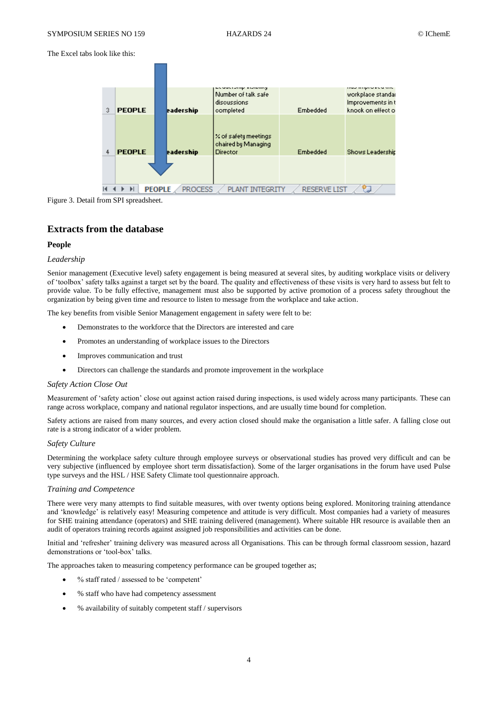The Excel tabs look like this:





# **Extracts from the database**

#### **People**

#### *Leadership*

Senior management (Executive level) safety engagement is being measured at several sites, by auditing workplace visits or delivery of 'toolbox' safety talks against a target set by the board. The quality and effectiveness of these visits is very hard to assess but felt to provide value. To be fully effective, management must also be supported by active promotion of a process safety throughout the organization by being given time and resource to listen to message from the workplace and take action.

The key benefits from visible Senior Management engagement in safety were felt to be:

- Demonstrates to the workforce that the Directors are interested and care
- Promotes an understanding of workplace issues to the Directors
- Improves communication and trust
- Directors can challenge the standards and promote improvement in the workplace

#### *Safety Action Close Out*

Measurement of 'safety action' close out against action raised during inspections, is used widely across many participants. These can range across workplace, company and national regulator inspections, and are usually time bound for completion.

Safety actions are raised from many sources, and every action closed should make the organisation a little safer. A falling close out rate is a strong indicator of a wider problem.

### *Safety Culture*

Determining the workplace safety culture through employee surveys or observational studies has proved very difficult and can be very subjective (influenced by employee short term dissatisfaction). Some of the larger organisations in the forum have used Pulse type surveys and the HSL / HSE Safety Climate tool questionnaire approach.

#### *Training and Competence*

There were very many attempts to find suitable measures, with over twenty options being explored. Monitoring training attendance and 'knowledge' is relatively easy! Measuring competence and attitude is very difficult. Most companies had a variety of measures for SHE training attendance (operators) and SHE training delivered (management). Where suitable HR resource is available then an audit of operators training records against assigned job responsibilities and activities can be done.

Initial and 'refresher' training delivery was measured across all Organisations. This can be through formal classroom session, hazard demonstrations or 'tool-box' talks.

The approaches taken to measuring competency performance can be grouped together as;

- % staff rated / assessed to be 'competent'
- % staff who have had competency assessment
- % availability of suitably competent staff / supervisors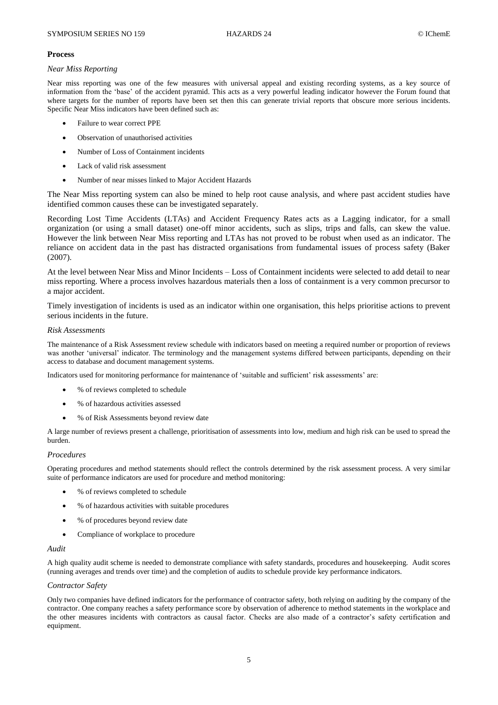### **Process**

# *Near Miss Reporting*

Near miss reporting was one of the few measures with universal appeal and existing recording systems, as a key source of information from the 'base' of the accident pyramid. This acts as a very powerful leading indicator however the Forum found that where targets for the number of reports have been set then this can generate trivial reports that obscure more serious incidents. Specific Near Miss indicators have been defined such as:

- Failure to wear correct PPE
- Observation of unauthorised activities
- Number of Loss of Containment incidents
- Lack of valid risk assessment
- Number of near misses linked to Major Accident Hazards

The Near Miss reporting system can also be mined to help root cause analysis, and where past accident studies have identified common causes these can be investigated separately.

Recording Lost Time Accidents (LTAs) and Accident Frequency Rates acts as a Lagging indicator, for a small organization (or using a small dataset) one-off minor accidents, such as slips, trips and falls, can skew the value. However the link between Near Miss reporting and LTAs has not proved to be robust when used as an indicator. The reliance on accident data in the past has distracted organisations from fundamental issues of process safety (Baker (2007).

At the level between Near Miss and Minor Incidents – Loss of Containment incidents were selected to add detail to near miss reporting. Where a process involves hazardous materials then a loss of containment is a very common precursor to a major accident.

Timely investigation of incidents is used as an indicator within one organisation, this helps prioritise actions to prevent serious incidents in the future.

# *Risk Assessments*

The maintenance of a Risk Assessment review schedule with indicators based on meeting a required number or proportion of reviews was another 'universal' indicator. The terminology and the management systems differed between participants, depending on their access to database and document management systems.

Indicators used for monitoring performance for maintenance of 'suitable and sufficient' risk assessments' are:

- % of reviews completed to schedule
- % of hazardous activities assessed
- % of Risk Assessments beyond review date

A large number of reviews present a challenge, prioritisation of assessments into low, medium and high risk can be used to spread the burden.

# *Procedures*

Operating procedures and method statements should reflect the controls determined by the risk assessment process. A very similar suite of performance indicators are used for procedure and method monitoring:

- % of reviews completed to schedule
- % of hazardous activities with suitable procedures
- % of procedures beyond review date
- Compliance of workplace to procedure

# *Audit*

A high quality audit scheme is needed to demonstrate compliance with safety standards, procedures and housekeeping. Audit scores (running averages and trends over time) and the completion of audits to schedule provide key performance indicators.

### *Contractor Safety*

Only two companies have defined indicators for the performance of contractor safety, both relying on auditing by the company of the contractor. One company reaches a safety performance score by observation of adherence to method statements in the workplace and the other measures incidents with contractors as causal factor. Checks are also made of a contractor's safety certification and equipment.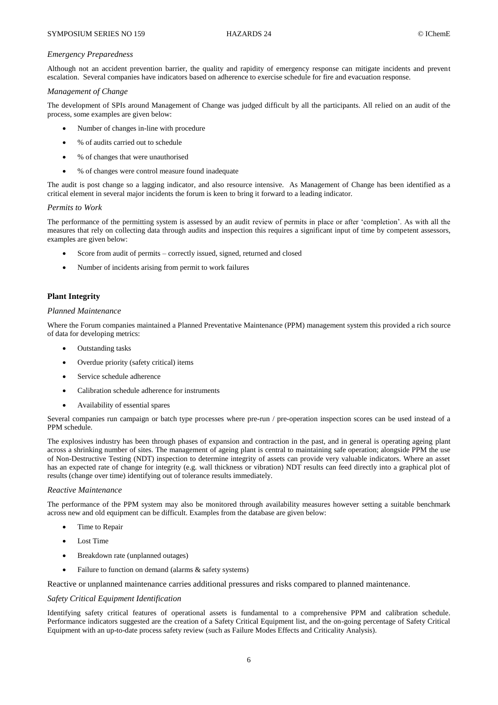#### *Emergency Preparedness*

Although not an accident prevention barrier, the quality and rapidity of emergency response can mitigate incidents and prevent escalation. Several companies have indicators based on adherence to exercise schedule for fire and evacuation response.

#### *Management of Change*

The development of SPIs around Management of Change was judged difficult by all the participants. All relied on an audit of the process, some examples are given below:

- Number of changes in-line with procedure
- % of audits carried out to schedule
- % of changes that were unauthorised
- % of changes were control measure found inadequate

The audit is post change so a lagging indicator, and also resource intensive. As Management of Change has been identified as a critical element in several major incidents the forum is keen to bring it forward to a leading indicator.

#### *Permits to Work*

The performance of the permitting system is assessed by an audit review of permits in place or after 'completion'. As with all the measures that rely on collecting data through audits and inspection this requires a significant input of time by competent assessors, examples are given below:

- Score from audit of permits correctly issued, signed, returned and closed
- Number of incidents arising from permit to work failures

# **Plant Integrity**

#### *Planned Maintenance*

Where the Forum companies maintained a Planned Preventative Maintenance (PPM) management system this provided a rich source of data for developing metrics:

- Outstanding tasks
- Overdue priority (safety critical) items
- Service schedule adherence
- Calibration schedule adherence for instruments
- Availability of essential spares

Several companies run campaign or batch type processes where pre-run / pre-operation inspection scores can be used instead of a PPM schedule.

The explosives industry has been through phases of expansion and contraction in the past, and in general is operating ageing plant across a shrinking number of sites. The management of ageing plant is central to maintaining safe operation; alongside PPM the use of Non-Destructive Testing (NDT) inspection to determine integrity of assets can provide very valuable indicators. Where an asset has an expected rate of change for integrity (e.g. wall thickness or vibration) NDT results can feed directly into a graphical plot of results (change over time) identifying out of tolerance results immediately.

#### *Reactive Maintenance*

The performance of the PPM system may also be monitored through availability measures however setting a suitable benchmark across new and old equipment can be difficult. Examples from the database are given below:

- Time to Repair
- $\bullet$  Lost Time
- Breakdown rate (unplanned outages)
- Failure to function on demand (alarms & safety systems)

Reactive or unplanned maintenance carries additional pressures and risks compared to planned maintenance.

### *Safety Critical Equipment Identification*

Identifying safety critical features of operational assets is fundamental to a comprehensive PPM and calibration schedule. Performance indicators suggested are the creation of a Safety Critical Equipment list, and the on-going percentage of Safety Critical Equipment with an up-to-date process safety review (such as Failure Modes Effects and Criticality Analysis).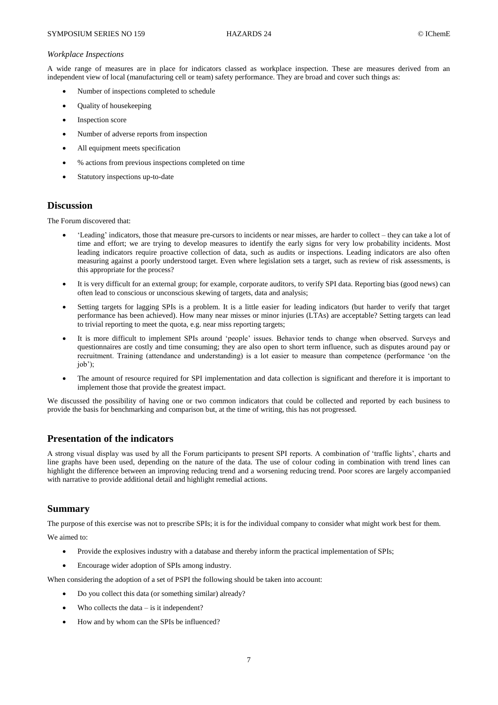### *Workplace Inspections*

A wide range of measures are in place for indicators classed as workplace inspection. These are measures derived from an independent view of local (manufacturing cell or team) safety performance. They are broad and cover such things as:

- Number of inspections completed to schedule
- Quality of housekeeping
- Inspection score
- Number of adverse reports from inspection
- All equipment meets specification
- % actions from previous inspections completed on time
- Statutory inspections up-to-date

# **Discussion**

The Forum discovered that:

- 'Leading' indicators, those that measure pre-cursors to incidents or near misses, are harder to collect they can take a lot of time and effort; we are trying to develop measures to identify the early signs for very low probability incidents. Most leading indicators require proactive collection of data, such as audits or inspections. Leading indicators are also often measuring against a poorly understood target. Even where legislation sets a target, such as review of risk assessments, is this appropriate for the process?
- It is very difficult for an external group; for example, corporate auditors, to verify SPI data. Reporting bias (good news) can often lead to conscious or unconscious skewing of targets, data and analysis;
- Setting targets for lagging SPIs is a problem. It is a little easier for leading indicators (but harder to verify that target performance has been achieved). How many near misses or minor injuries (LTAs) are acceptable? Setting targets can lead to trivial reporting to meet the quota, e.g. near miss reporting targets;
- It is more difficult to implement SPIs around 'people' issues. Behavior tends to change when observed. Surveys and questionnaires are costly and time consuming; they are also open to short term influence, such as disputes around pay or recruitment. Training (attendance and understanding) is a lot easier to measure than competence (performance 'on the job');
- The amount of resource required for SPI implementation and data collection is significant and therefore it is important to implement those that provide the greatest impact.

We discussed the possibility of having one or two common indicators that could be collected and reported by each business to provide the basis for benchmarking and comparison but, at the time of writing, this has not progressed.

# **Presentation of the indicators**

A strong visual display was used by all the Forum participants to present SPI reports. A combination of 'traffic lights', charts and line graphs have been used, depending on the nature of the data. The use of colour coding in combination with trend lines can highlight the difference between an improving reducing trend and a worsening reducing trend. Poor scores are largely accompanied with narrative to provide additional detail and highlight remedial actions.

# **Summary**

The purpose of this exercise was not to prescribe SPIs; it is for the individual company to consider what might work best for them.

We aimed to:

- Provide the explosives industry with a database and thereby inform the practical implementation of SPIs;
- Encourage wider adoption of SPIs among industry.

When considering the adoption of a set of PSPI the following should be taken into account:

- Do you collect this data (or something similar) already?
- $\bullet$  Who collects the data is it independent?
- How and by whom can the SPIs be influenced?